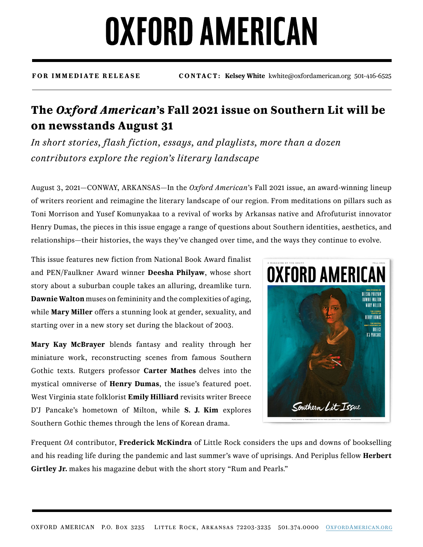## **OXFORD AMERICAN**

**FOR IMMEDIATE RELEASE CONTACT: Kelsey White** kwhite@oxfordamerican.org 501-416-6525

### **The** *Oxford American***'s Fall 2021 issue on Southern Lit will be on newsstands August 31**

*In short stories, flash fiction, essays, and playlists, more than a dozen contributors explore the region's literary landscape*

August 3, 2021—CONWAY, ARKANSAS—In the *Oxford American*'s Fall 2021 issue, an award-winning lineup of writers reorient and reimagine the literary landscape of our region. From meditations on pillars such as Toni Morrison and Yusef Komunyakaa to a revival of works by Arkansas native and Afrofuturist innovator Henry Dumas, the pieces in this issue engage a range of questions about Southern identities, aesthetics, and relationships—their histories, the ways they've changed over time, and the ways they continue to evolve.

This issue features new fiction from National Book Award finalist and PEN/Faulkner Award winner **Deesha Philyaw**, whose short story about a suburban couple takes an alluring, dreamlike turn. **Dawnie Walton** muses on femininity and the complexities of aging, while **Mary Miller** offers a stunning look at gender, sexuality, and starting over in a new story set during the blackout of 2003.

**Mary Kay McBrayer** blends fantasy and reality through her miniature work, reconstructing scenes from famous Southern Gothic texts. Rutgers professor **Carter Mathes** delves into the mystical omniverse of **Henry Dumas**, the issue's featured poet. West Virginia state folklorist **Emily Hilliard** revisits writer Breece D'J Pancake's hometown of Milton, while **S. J. Kim** explores Southern Gothic themes through the lens of Korean drama.



Frequent *OA* contributor, **Frederick McKindra** of Little Rock considers the ups and downs of bookselling and his reading life during the pandemic and last summer's wave of uprisings. And Periplus fellow **Herbert Girtley Jr.** makes his magazine debut with the short story "Rum and Pearls."